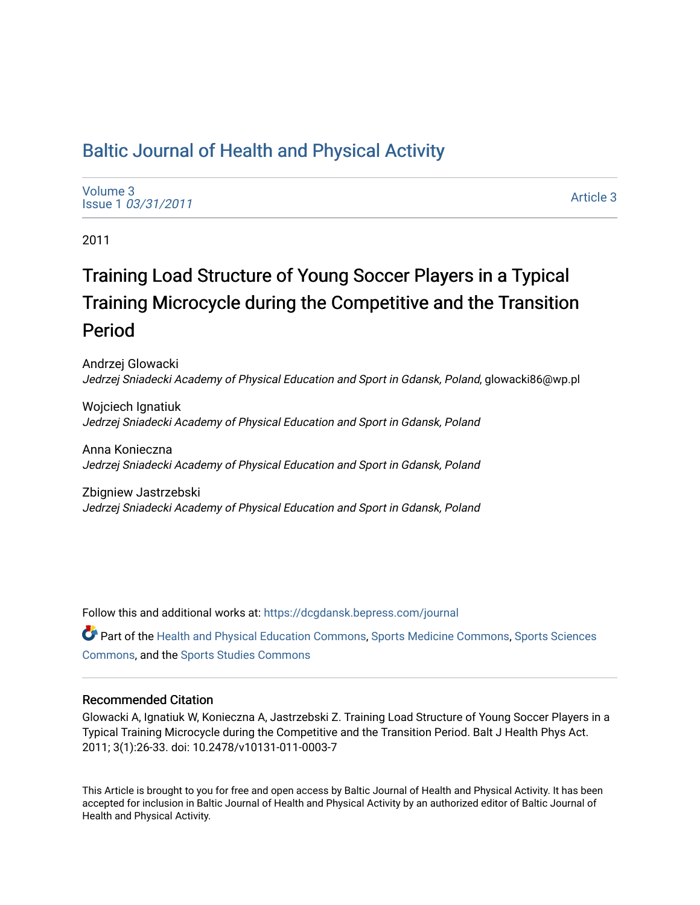# [Baltic Journal of Health and Physical Activity](https://dcgdansk.bepress.com/journal)

[Volume 3](https://dcgdansk.bepress.com/journal/vol3) Issue 1 [03/31/2011](https://dcgdansk.bepress.com/journal/vol3/iss1)

[Article 3](https://dcgdansk.bepress.com/journal/vol3/iss1/3) 

2011

# Training Load Structure of Young Soccer Players in a Typical Training Microcycle during the Competitive and the Transition Period

Andrzej Glowacki Jedrzej Sniadecki Academy of Physical Education and Sport in Gdansk, Poland, glowacki86@wp.pl

Wojciech Ignatiuk Jedrzej Sniadecki Academy of Physical Education and Sport in Gdansk, Poland

Anna Konieczna Jedrzej Sniadecki Academy of Physical Education and Sport in Gdansk, Poland

Zbigniew Jastrzebski Jedrzej Sniadecki Academy of Physical Education and Sport in Gdansk, Poland

Follow this and additional works at: [https://dcgdansk.bepress.com/journal](https://dcgdansk.bepress.com/journal?utm_source=dcgdansk.bepress.com%2Fjournal%2Fvol3%2Fiss1%2F3&utm_medium=PDF&utm_campaign=PDFCoverPages)

Part of the [Health and Physical Education Commons](http://network.bepress.com/hgg/discipline/1327?utm_source=dcgdansk.bepress.com%2Fjournal%2Fvol3%2Fiss1%2F3&utm_medium=PDF&utm_campaign=PDFCoverPages), [Sports Medicine Commons,](http://network.bepress.com/hgg/discipline/1331?utm_source=dcgdansk.bepress.com%2Fjournal%2Fvol3%2Fiss1%2F3&utm_medium=PDF&utm_campaign=PDFCoverPages) [Sports Sciences](http://network.bepress.com/hgg/discipline/759?utm_source=dcgdansk.bepress.com%2Fjournal%2Fvol3%2Fiss1%2F3&utm_medium=PDF&utm_campaign=PDFCoverPages) [Commons](http://network.bepress.com/hgg/discipline/759?utm_source=dcgdansk.bepress.com%2Fjournal%2Fvol3%2Fiss1%2F3&utm_medium=PDF&utm_campaign=PDFCoverPages), and the [Sports Studies Commons](http://network.bepress.com/hgg/discipline/1198?utm_source=dcgdansk.bepress.com%2Fjournal%2Fvol3%2Fiss1%2F3&utm_medium=PDF&utm_campaign=PDFCoverPages) 

#### Recommended Citation

Glowacki A, Ignatiuk W, Konieczna A, Jastrzebski Z. Training Load Structure of Young Soccer Players in a Typical Training Microcycle during the Competitive and the Transition Period. Balt J Health Phys Act. 2011; 3(1):26-33. doi: 10.2478/v10131-011-0003-7

This Article is brought to you for free and open access by Baltic Journal of Health and Physical Activity. It has been accepted for inclusion in Baltic Journal of Health and Physical Activity by an authorized editor of Baltic Journal of Health and Physical Activity.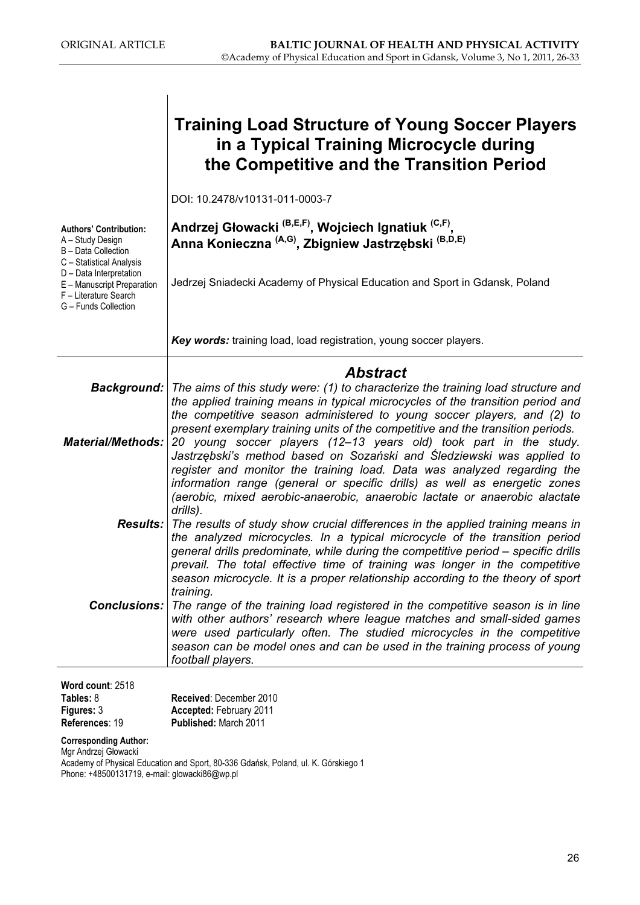|                                                                                                        | <b>Training Load Structure of Young Soccer Players</b><br>in a Typical Training Microcycle during<br>the Competitive and the Transition Period                                                                                                                                                                                                                                                                                                                                                                                                 |
|--------------------------------------------------------------------------------------------------------|------------------------------------------------------------------------------------------------------------------------------------------------------------------------------------------------------------------------------------------------------------------------------------------------------------------------------------------------------------------------------------------------------------------------------------------------------------------------------------------------------------------------------------------------|
|                                                                                                        | DOI: 10.2478/v10131-011-0003-7                                                                                                                                                                                                                                                                                                                                                                                                                                                                                                                 |
| <b>Authors' Contribution:</b><br>A - Study Design<br>B - Data Collection<br>C - Statistical Analysis   | Andrzej Głowacki <sup>(B,E,F)</sup> , Wojciech Ignatiuk <sup>(C,F)</sup> ,<br>Anna Konieczna <sup>(A,G)</sup> , Zbigniew Jastrzębski <sup>(B,D,E)</sup>                                                                                                                                                                                                                                                                                                                                                                                        |
| D - Data Interpretation<br>E - Manuscript Preparation<br>F - Literature Search<br>G - Funds Collection | Jedrzej Sniadecki Academy of Physical Education and Sport in Gdansk, Poland                                                                                                                                                                                                                                                                                                                                                                                                                                                                    |
|                                                                                                        | Key words: training load, load registration, young soccer players.                                                                                                                                                                                                                                                                                                                                                                                                                                                                             |
|                                                                                                        | <b>Abstract</b><br>Background:   The aims of this study were: (1) to characterize the training load structure and<br>the applied training means in typical microcycles of the transition period and                                                                                                                                                                                                                                                                                                                                            |
| <b>Material/Methods:</b>                                                                               | the competitive season administered to young soccer players, and (2) to<br>present exemplary training units of the competitive and the transition periods.<br>20 young soccer players (12-13 years old) took part in the study.<br>Jastrzębski's method based on Sozański and Śledziewski was applied to<br>register and monitor the training load. Data was analyzed regarding the<br>information range (general or specific drills) as well as energetic zones<br>(aerobic, mixed aerobic-anaerobic, anaerobic lactate or anaerobic alactate |
|                                                                                                        | drills).<br><b>Results:</b> The results of study show crucial differences in the applied training means in<br>the analyzed microcycles. In a typical microcycle of the transition period<br>general drills predominate, while during the competitive period – specific drills<br>prevail. The total effective time of training was longer in the competitive<br>season microcycle. It is a proper relationship according to the theory of sport                                                                                                |
| <b>Conclusions:</b>                                                                                    | training.<br>The range of the training load registered in the competitive season is in line<br>with other authors' research where league matches and small-sided games<br>were used particularly often. The studied microcycles in the competitive<br>season can be model ones and can be used in the training process of young<br>football players.                                                                                                                                                                                           |
| Word count: 2518<br>Tables: 8<br>Figures: 3<br>References: 19                                          | Received: December 2010<br><b>Accepted: February 2011</b><br>Published: March 2011                                                                                                                                                                                                                                                                                                                                                                                                                                                             |

Corresponding Author:

Mgr Andrzej Głowacki Academy of Physical Education and Sport, 80-336 Gdańsk, Poland, ul. K. Górskiego 1 Phone: +48500131719, e-mail: glowacki86@wp.pl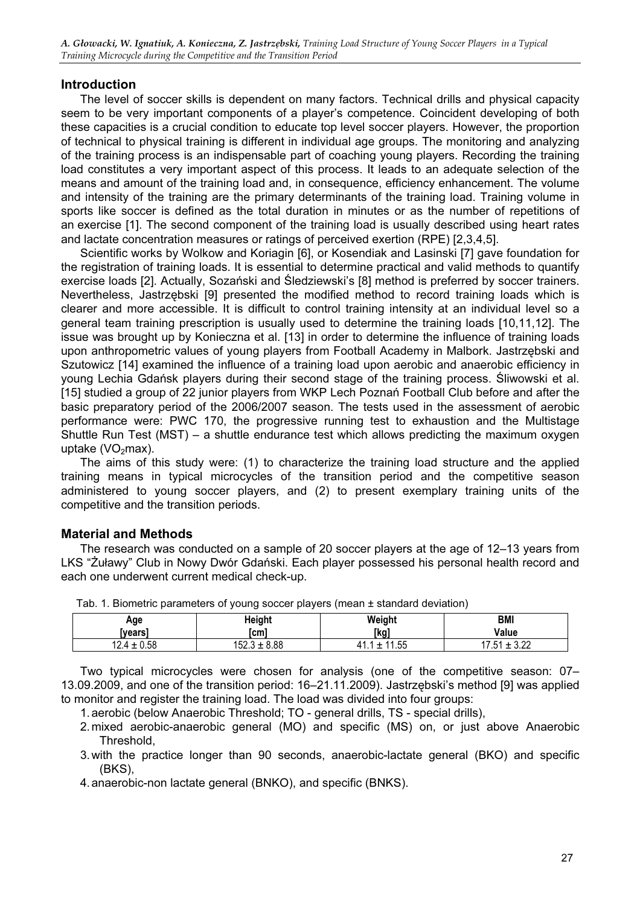# **Introduction**

The level of soccer skills is dependent on many factors. Technical drills and physical capacity seem to be very important components of a player's competence. Coincident developing of both these capacities is a crucial condition to educate top level soccer players. However, the proportion of technical to physical training is different in individual age groups. The monitoring and analyzing of the training process is an indispensable part of coaching young players. Recording the training load constitutes a very important aspect of this process. It leads to an adequate selection of the means and amount of the training load and, in consequence, efficiency enhancement. The volume and intensity of the training are the primary determinants of the training load. Training volume in sports like soccer is defined as the total duration in minutes or as the number of repetitions of an exercise [1]. The second component of the training load is usually described using heart rates and lactate concentration measures or ratings of perceived exertion (RPE) [2,3,4,5].

Scientific works by Wolkow and Koriagin [6], or Kosendiak and Lasinski [7] gave foundation for the registration of training loads. It is essential to determine practical and valid methods to quantify exercise loads [2]. Actually, Sozański and Śledziewski's [8] method is preferred by soccer trainers. Nevertheless, Jastrzębski [9] presented the modified method to record training loads which is clearer and more accessible. It is difficult to control training intensity at an individual level so a general team training prescription is usually used to determine the training loads [10,11,12]. The issue was brought up by Konieczna et al. [13] in order to determine the influence of training loads upon anthropometric values of young players from Football Academy in Malbork. Jastrzębski and Szutowicz [14] examined the influence of a training load upon aerobic and anaerobic efficiency in young Lechia Gdańsk players during their second stage of the training process. Śliwowski et al. [15] studied a group of 22 junior players from WKP Lech Poznań Football Club before and after the basic preparatory period of the 2006/2007 season. The tests used in the assessment of aerobic performance were: PWC 170, the progressive running test to exhaustion and the Multistage Shuttle Run Test (MST) – a shuttle endurance test which allows predicting the maximum oxygen uptake  $(VO<sub>2</sub>max)$ .

The aims of this study were: (1) to characterize the training load structure and the applied training means in typical microcycles of the transition period and the competitive season administered to young soccer players, and (2) to present exemplary training units of the competitive and the transition periods.

# Material and Methods

The research was conducted on a sample of 20 soccer players at the age of 12–13 years from LKS "Żuławy" Club in Nowy Dwór Gdański. Each player possessed his personal health record and each one underwent current medical check-up.

| Age               | <b>Height</b> | Weight | <b>BMI</b>                 |
|-------------------|---------------|--------|----------------------------|
| vears             | [cm]          | [kg]   | Value                      |
| 0.58<br>14.4<br>∸ | 8.88<br>52.3  | .55    | 0.00<br>-54<br>J.LL<br>ں ، |

Tab. 1. Biometric parameters of young soccer players (mean ± standard deviation)

Two typical microcycles were chosen for analysis (one of the competitive season: 07– 13.09.2009, and one of the transition period: 16–21.11.2009). Jastrzębski's method [9] was applied to monitor and register the training load. The load was divided into four groups:

1. aerobic (below Anaerobic Threshold; TO - general drills, TS - special drills),

- 2. mixed aerobic-anaerobic general (MO) and specific (MS) on, or just above Anaerobic Threshold,
- 3. with the practice longer than 90 seconds, anaerobic-lactate general (BKO) and specific (BKS),

4. anaerobic-non lactate general (BNKO), and specific (BNKS).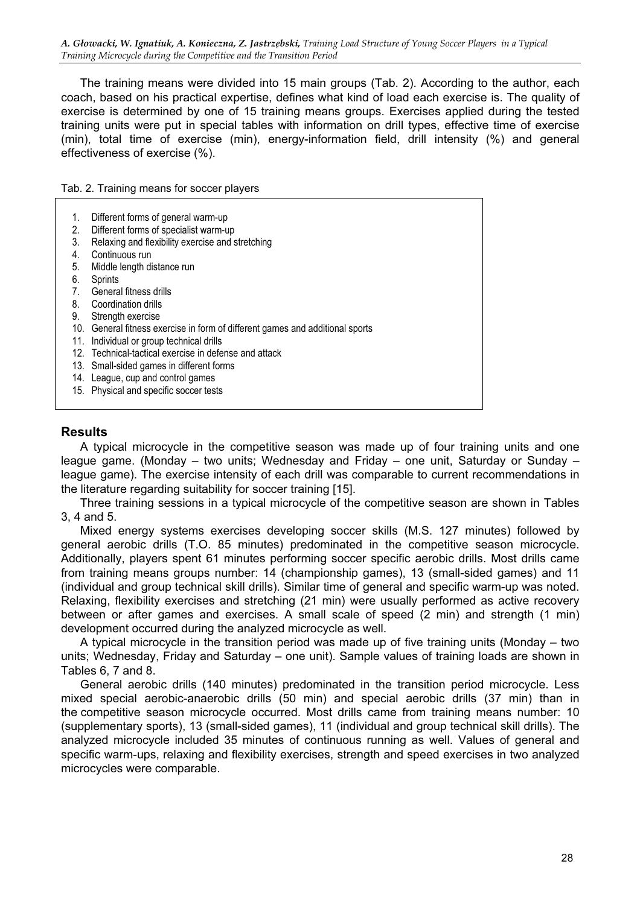The training means were divided into 15 main groups (Tab. 2). According to the author, each coach, based on his practical expertise, defines what kind of load each exercise is. The quality of exercise is determined by one of 15 training means groups. Exercises applied during the tested training units were put in special tables with information on drill types, effective time of exercise (min), total time of exercise (min), energy-information field, drill intensity (%) and general effectiveness of exercise (%).

Tab. 2. Training means for soccer players

| 1. | Different forms of general warm-up                                            |
|----|-------------------------------------------------------------------------------|
| 2. | Different forms of specialist warm-up                                         |
| 3. | Relaxing and flexibility exercise and stretching                              |
| 4. | Continuous run                                                                |
| 5. | Middle length distance run                                                    |
| 6. | Sprints                                                                       |
|    | General fitness drills                                                        |
| 8. | Coordination drills                                                           |
| 9. | Strength exercise                                                             |
|    | 10. General fitness exercise in form of different games and additional sports |
|    | 11. Individual or group technical drills                                      |
|    | 12. Technical-tactical exercise in defense and attack                         |
|    | 13. Small-sided games in different forms                                      |
|    | 14. League, cup and control games                                             |
|    | 15. Physical and specific soccer tests                                        |
|    |                                                                               |

# **Results**

A typical microcycle in the competitive season was made up of four training units and one league game. (Monday – two units; Wednesday and Friday – one unit, Saturday or Sunday – league game). The exercise intensity of each drill was comparable to current recommendations in the literature regarding suitability for soccer training [15].

Three training sessions in a typical microcycle of the competitive season are shown in Tables 3, 4 and 5.

Mixed energy systems exercises developing soccer skills (M.S. 127 minutes) followed by general aerobic drills (T.O. 85 minutes) predominated in the competitive season microcycle. Additionally, players spent 61 minutes performing soccer specific aerobic drills. Most drills came from training means groups number: 14 (championship games), 13 (small-sided games) and 11 (individual and group technical skill drills). Similar time of general and specific warm-up was noted. Relaxing, flexibility exercises and stretching (21 min) were usually performed as active recovery between or after games and exercises. A small scale of speed (2 min) and strength (1 min) development occurred during the analyzed microcycle as well.

A typical microcycle in the transition period was made up of five training units (Monday – two units; Wednesday, Friday and Saturday – one unit). Sample values of training loads are shown in Tables 6, 7 and 8.

General aerobic drills (140 minutes) predominated in the transition period microcycle. Less mixed special aerobic-anaerobic drills (50 min) and special aerobic drills (37 min) than in the competitive season microcycle occurred. Most drills came from training means number: 10 (supplementary sports), 13 (small-sided games), 11 (individual and group technical skill drills). The analyzed microcycle included 35 minutes of continuous running as well. Values of general and specific warm-ups, relaxing and flexibility exercises, strength and speed exercises in two analyzed microcycles were comparable.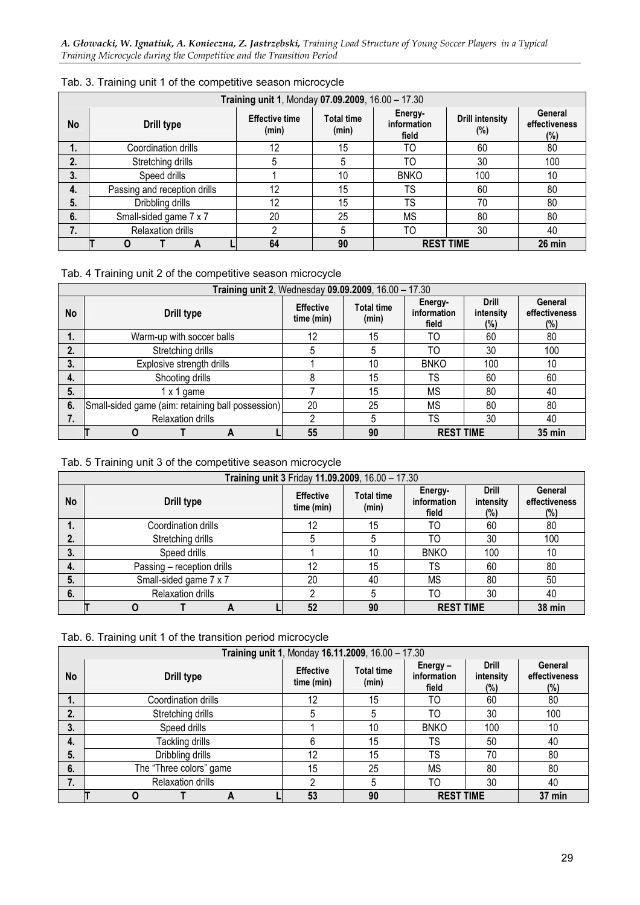A. Głowacki, W. Ignatiuk, A. Konieczna, Z. Jastrzębski, Training Load Structure of Young Soccer Players in a Typical Training Microcycle during the Competitive and the Transition Period

| Training unit 1, Monday 07.09.2009, 16.00 - 17.30 |                              |                                |                            |                                 |                                  |                                 |  |  |  |
|---------------------------------------------------|------------------------------|--------------------------------|----------------------------|---------------------------------|----------------------------------|---------------------------------|--|--|--|
| <b>No</b>                                         | Drill type                   | <b>Effective time</b><br>(min) | <b>Total time</b><br>(min) | Energy-<br>information<br>field | <b>Drill intensity</b><br>$(\%)$ | General<br>effectiveness<br>(%) |  |  |  |
| 1.                                                | Coordination drills          | 12                             | 15                         | TO                              | 60                               | 80                              |  |  |  |
| 2.                                                | Stretching drills            | 5                              | 5                          | TO                              | 30                               | 100                             |  |  |  |
| 3.                                                | Speed drills                 |                                | 10                         | <b>BNKO</b>                     | 100                              | 10                              |  |  |  |
| 4.                                                | Passing and reception drills | 12                             | 15                         | TS                              | 60                               | 80                              |  |  |  |
| 5.                                                | Dribbling drills             | 12                             | 15                         | TS                              | 70                               | 80                              |  |  |  |
| 6.                                                | Small-sided game 7 x 7       | 20                             | 25                         | <b>MS</b>                       | 80                               | 80                              |  |  |  |
| 7.                                                | <b>Relaxation drills</b>     | 2                              | 5                          | TO                              | 30                               | 40                              |  |  |  |
|                                                   | A                            | 64                             | 90                         | <b>REST TIME</b>                |                                  | 26 min                          |  |  |  |

#### Tab. 3. Training unit 1 of the competitive season microcycle

Tab. 4 Training unit 2 of the competitive season microcycle

|           | Training unit 2, Wednesday 09.09.2009, 16.00 - 17.30 |                                |                            |                                 |                                  |                                    |  |  |  |
|-----------|------------------------------------------------------|--------------------------------|----------------------------|---------------------------------|----------------------------------|------------------------------------|--|--|--|
| <b>No</b> | <b>Drill type</b>                                    | <b>Effective</b><br>time (min) | <b>Total time</b><br>(min) | Energy-<br>information<br>field | <b>Drill</b><br>intensity<br>(%) | General<br>effectiveness<br>$(\%)$ |  |  |  |
|           | Warm-up with soccer balls                            | 12                             | 15                         | TO                              | 60                               | 80                                 |  |  |  |
| 2.        | Stretching drills                                    | 5                              | 5                          | TO                              | 30                               | 100                                |  |  |  |
| 3.        | Explosive strength drills                            |                                | 10                         | <b>BNKO</b>                     | 100                              | 10                                 |  |  |  |
| 4.        | Shooting drills                                      | 8                              | 15                         | TS                              | 60                               | 60                                 |  |  |  |
| 5.        | 1 x 1 game                                           |                                | 15                         | MS                              | 80                               | 40                                 |  |  |  |
| 6.        | Small-sided game (aim: retaining ball possession)    | 20                             | 25                         | <b>MS</b>                       | 80                               | 80                                 |  |  |  |
|           | <b>Relaxation drills</b>                             | ∩                              | 5                          | TS                              | 30                               | 40                                 |  |  |  |
|           | А                                                    | 55                             | 90                         | <b>REST TIME</b>                |                                  | <b>35 min</b>                      |  |  |  |

Tab. 5 Training unit 3 of the competitive season microcycle

| Training unit 3 Friday 11.09.2009, 16.00 - 17.30 |                            |                                |                            |                                 |                                  |                                 |  |  |
|--------------------------------------------------|----------------------------|--------------------------------|----------------------------|---------------------------------|----------------------------------|---------------------------------|--|--|
| <b>No</b>                                        | Drill type                 | <b>Effective</b><br>time (min) | <b>Total time</b><br>(min) | Energy-<br>information<br>field | <b>Drill</b><br>intensity<br>(%) | General<br>effectiveness<br>(%) |  |  |
| 1.                                               | Coordination drills        | 12                             | 15                         | TO                              | 60                               | 80                              |  |  |
| 2.                                               | Stretching drills          | 5                              | 5                          | TO                              | 30                               | 100                             |  |  |
| 3.                                               | Speed drills               |                                | 10                         | <b>BNKO</b>                     | 100                              | 10                              |  |  |
| 4.                                               | Passing - reception drills | 12                             | 15                         | TS                              | 60                               | 80                              |  |  |
| 5.                                               | Small-sided game 7 x 7     | 20                             | 40                         | <b>MS</b>                       | 80                               | 50                              |  |  |
| 6.                                               | <b>Relaxation drills</b>   |                                | 5                          | TO                              | 30                               | 40                              |  |  |
|                                                  | Α                          | 52                             | 90                         | <b>REST TIME</b>                |                                  | <b>38 min</b>                   |  |  |

|  |  | Tab. 6. Training unit 1 of the transition period microcycle |  |  |
|--|--|-------------------------------------------------------------|--|--|

|                | Training unit 1, Monday 16.11.2009, 16.00 - 17.30 |                                |                            |                                 |                                     |                                    |  |  |  |
|----------------|---------------------------------------------------|--------------------------------|----------------------------|---------------------------------|-------------------------------------|------------------------------------|--|--|--|
| <b>No</b>      | Drill type                                        | <b>Effective</b><br>time (min) | <b>Total time</b><br>(min) | Energy-<br>information<br>field | <b>Drill</b><br>intensity<br>$(\%)$ | General<br>effectiveness<br>$(\%)$ |  |  |  |
| $\mathbf{1}$ . | Coordination drills                               | 12                             | 15                         | TO                              | 60                                  | 80                                 |  |  |  |
| 2.             | Stretching drills                                 | 5                              | 5                          | TO                              | 30                                  | 100                                |  |  |  |
| 3.             | Speed drills                                      |                                | 10                         | <b>BNKO</b>                     | 100                                 | 10                                 |  |  |  |
| 4.             | Tackling drills                                   | 6                              | 15                         | TS                              | 50                                  | 40                                 |  |  |  |
| 5.             | Dribbling drills                                  | 12                             | 15                         | TS                              | 70                                  | 80                                 |  |  |  |
| 6.             | The "Three colors" game                           | 15                             | 25                         | <b>MS</b>                       | 80                                  | 80                                 |  |  |  |
| 7.             | <b>Relaxation drills</b>                          |                                | 5                          | TO                              | 30                                  | 40                                 |  |  |  |
|                | O                                                 | 53                             | 90                         | <b>REST TIME</b>                |                                     | 37 min                             |  |  |  |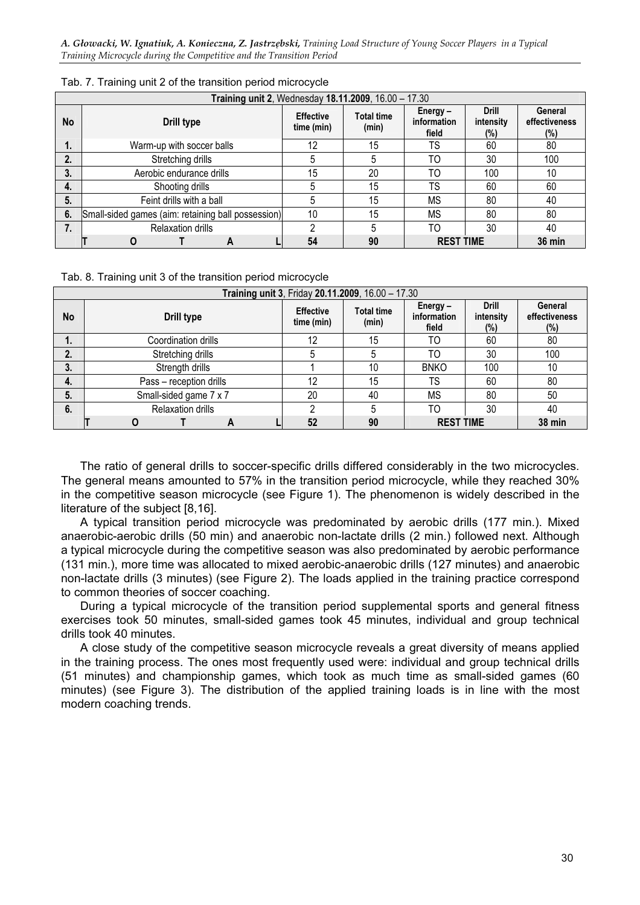|           | Training unit 2, Wednesday 18.11.2009, 16.00 - 17.30 |                                |                            |                                 |                                     |                                    |  |  |
|-----------|------------------------------------------------------|--------------------------------|----------------------------|---------------------------------|-------------------------------------|------------------------------------|--|--|
| <b>No</b> | Drill type                                           | <b>Effective</b><br>time (min) | <b>Total time</b><br>(min) | Energy-<br>information<br>field | <b>Drill</b><br>intensity<br>$(\%)$ | General<br>effectiveness<br>$(\%)$ |  |  |
|           | Warm-up with soccer balls                            | 12                             | 15                         | TS                              | 60                                  | 80                                 |  |  |
| 2.        | Stretching drills                                    | 5                              |                            | TO                              | 30                                  | 100                                |  |  |
| 3.        | Aerobic endurance drills                             | 15                             | 20                         | TO                              | 100                                 | 10                                 |  |  |
| 4.        | Shooting drills                                      | 5                              | 15                         | TS                              | 60                                  | 60                                 |  |  |
| 5.        | Feint drills with a ball                             | 5                              | 15                         | <b>MS</b>                       | 80                                  | 40                                 |  |  |
| 6.        | Small-sided games (aim: retaining ball possession)   | 10                             | 15                         | <b>MS</b>                       | 80                                  | 80                                 |  |  |
| 7.        | <b>Relaxation drills</b>                             | റ                              |                            | TO                              | 30                                  | 40                                 |  |  |
|           | A                                                    | 54                             | 90                         | <b>REST TIME</b>                |                                     | <b>36 min</b>                      |  |  |

Tab. 7. Training unit 2 of the transition period microcycle

Tab. 8. Training unit 3 of the transition period microcycle

|           | Training unit 3, Friday 20.11.2009, 16.00 - 17.30 |                                |                            |                                  |                                     |                                    |  |  |  |
|-----------|---------------------------------------------------|--------------------------------|----------------------------|----------------------------------|-------------------------------------|------------------------------------|--|--|--|
| <b>No</b> | Drill type                                        | <b>Effective</b><br>time (min) | <b>Total time</b><br>(min) | Energy –<br>information<br>field | <b>Drill</b><br>intensity<br>$(\%)$ | General<br>effectiveness<br>$(\%)$ |  |  |  |
| 1.        | Coordination drills                               | 12                             | 15                         | TO                               | 60                                  | 80                                 |  |  |  |
| 2.        | Stretching drills                                 | 5                              | 5                          | TO                               | 30                                  | 100                                |  |  |  |
| 3.        | Strength drills                                   |                                | 10                         | <b>BNKO</b>                      | 100                                 | 10                                 |  |  |  |
| 4.        | Pass - reception drills                           | 12                             | 15                         | TS                               | 60                                  | 80                                 |  |  |  |
| 5.        | Small-sided game 7 x 7                            | 20                             | 40                         | <b>MS</b>                        | 80                                  | 50                                 |  |  |  |
| 6.        | <b>Relaxation drills</b>                          | ∩                              | 5                          | TO                               | 30                                  | 40                                 |  |  |  |
|           |                                                   | 52                             | 90                         | <b>REST TIME</b>                 |                                     | <b>38 min</b>                      |  |  |  |

The ratio of general drills to soccer-specific drills differed considerably in the two microcycles. The general means amounted to 57% in the transition period microcycle, while they reached 30% in the competitive season microcycle (see Figure 1). The phenomenon is widely described in the literature of the subject [8,16].

A typical transition period microcycle was predominated by aerobic drills (177 min.). Mixed anaerobic-aerobic drills (50 min) and anaerobic non-lactate drills (2 min.) followed next. Although a typical microcycle during the competitive season was also predominated by aerobic performance (131 min.), more time was allocated to mixed aerobic-anaerobic drills (127 minutes) and anaerobic non-lactate drills (3 minutes) (see Figure 2). The loads applied in the training practice correspond to common theories of soccer coaching.

During a typical microcycle of the transition period supplemental sports and general fitness exercises took 50 minutes, small-sided games took 45 minutes, individual and group technical drills took 40 minutes.

A close study of the competitive season microcycle reveals a great diversity of means applied in the training process. The ones most frequently used were: individual and group technical drills (51 minutes) and championship games, which took as much time as small-sided games (60 minutes) (see Figure 3). The distribution of the applied training loads is in line with the most modern coaching trends.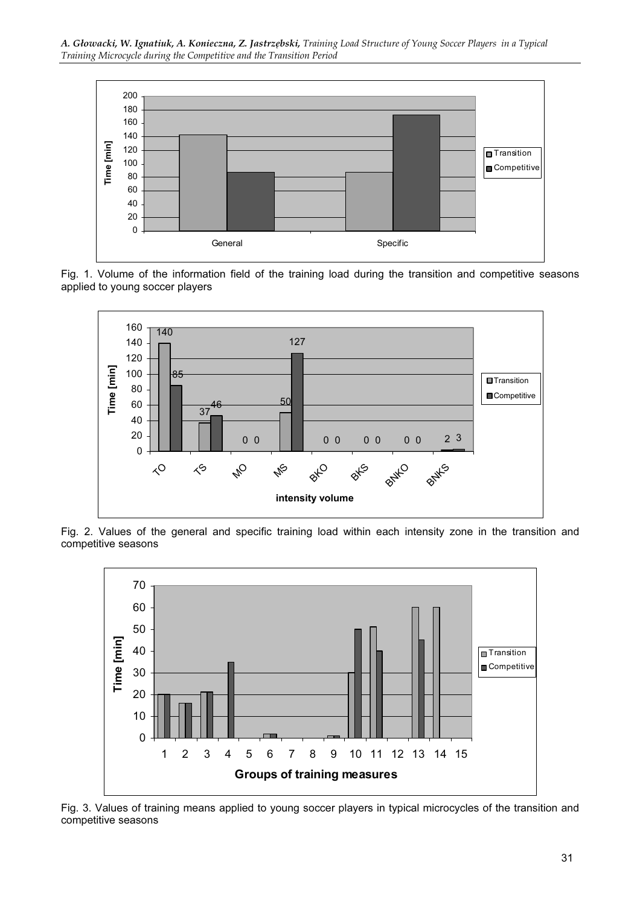A. Głowacki, W. Ignatiuk, A. Konieczna, Z. Jastrzębski, Training Load Structure of Young Soccer Players in a Typical Training Microcycle during the Competitive and the Transition Period







Fig. 2. Values of the general and specific training load within each intensity zone in the transition and competitive seasons



Fig. 3. Values of training means applied to young soccer players in typical microcycles of the transition and competitive seasons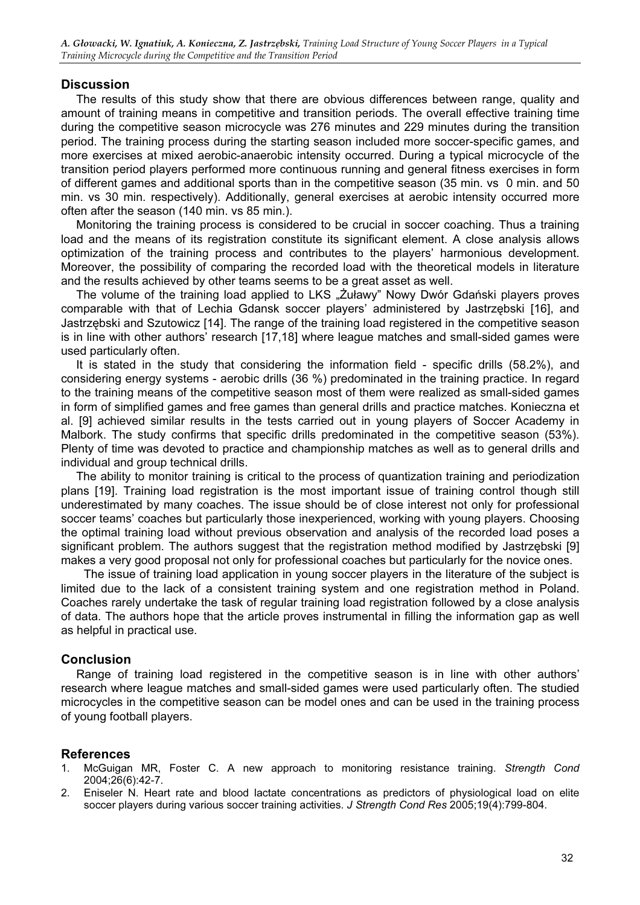# **Discussion**

The results of this study show that there are obvious differences between range, quality and amount of training means in competitive and transition periods. The overall effective training time during the competitive season microcycle was 276 minutes and 229 minutes during the transition period. The training process during the starting season included more soccer-specific games, and more exercises at mixed aerobic-anaerobic intensity occurred. During a typical microcycle of the transition period players performed more continuous running and general fitness exercises in form of different games and additional sports than in the competitive season (35 min. vs 0 min. and 50 min. vs 30 min. respectively). Additionally, general exercises at aerobic intensity occurred more often after the season (140 min. vs 85 min.).

Monitoring the training process is considered to be crucial in soccer coaching. Thus a training load and the means of its registration constitute its significant element. A close analysis allows optimization of the training process and contributes to the players' harmonious development. Moreover, the possibility of comparing the recorded load with the theoretical models in literature and the results achieved by other teams seems to be a great asset as well.

The volume of the training load applied to LKS "Żuławy" Nowy Dwór Gdański players proves comparable with that of Lechia Gdansk soccer players' administered by Jastrzębski [16], and Jastrzębski and Szutowicz [14]. The range of the training load registered in the competitive season is in line with other authors' research [17,18] where league matches and small-sided games were used particularly often.

It is stated in the study that considering the information field - specific drills (58.2%), and considering energy systems - aerobic drills (36 %) predominated in the training practice. In regard to the training means of the competitive season most of them were realized as small-sided games in form of simplified games and free games than general drills and practice matches. Konieczna et al. [9] achieved similar results in the tests carried out in young players of Soccer Academy in Malbork. The study confirms that specific drills predominated in the competitive season (53%). Plenty of time was devoted to practice and championship matches as well as to general drills and individual and group technical drills.

The ability to monitor training is critical to the process of quantization training and periodization plans [19]. Training load registration is the most important issue of training control though still underestimated by many coaches. The issue should be of close interest not only for professional soccer teams' coaches but particularly those inexperienced, working with young players. Choosing the optimal training load without previous observation and analysis of the recorded load poses a significant problem. The authors suggest that the registration method modified by Jastrzębski [9] makes a very good proposal not only for professional coaches but particularly for the novice ones.

The issue of training load application in young soccer players in the literature of the subject is limited due to the lack of a consistent training system and one registration method in Poland. Coaches rarely undertake the task of regular training load registration followed by a close analysis of data. The authors hope that the article proves instrumental in filling the information gap as well as helpful in practical use.

# Conclusion

Range of training load registered in the competitive season is in line with other authors' research where league matches and small-sided games were used particularly often. The studied microcycles in the competitive season can be model ones and can be used in the training process of young football players.

# References

- 1. McGuigan MR, Foster C. A new approach to monitoring resistance training. Strength Cond 2004;26(6):42-7.
- 2. Eniseler N. Heart rate and blood lactate concentrations as predictors of physiological load on elite soccer players during various soccer training activities. J Strength Cond Res 2005;19(4):799-804.